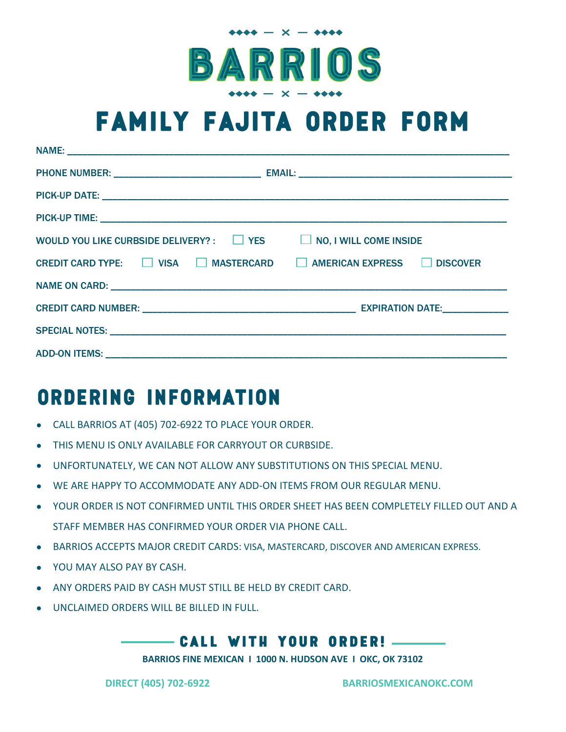

## **FAMILY FAJITA ORDER FORM**

| WOULD YOU LIKE CURBSIDE DELIVERY? : $\Box$ YES $\Box$ NO, I WILL COME INSIDE |  |
|------------------------------------------------------------------------------|--|
| CREDIT CARD TYPE: □ VISA □ MASTERCARD □ AMERICAN EXPRESS □ DISCOVER          |  |
|                                                                              |  |
|                                                                              |  |
|                                                                              |  |
|                                                                              |  |

## **ORDERING INFORMATION**

- CALL BARRIOS AT (405) 702-6922 TO PLACE YOUR ORDER.
- THIS MENU IS ONLY AVAILABLE FOR CARRYOUT OR CURBSIDE.
- UNFORTUNATELY, WE CAN NOT ALLOW ANY SUBSTITUTIONS ON THIS SPECIAL MENU.
- WE ARE HAPPY TO ACCOMMODATE ANY ADD-ON ITEMS FROM OUR REGULAR MENU.
- YOUR ORDER IS NOT CONFIRMED UNTIL THIS ORDER SHEET HAS BEEN COMPLETELY FILLED OUT AND A STAFF MEMBER HAS CONFIRMED YOUR ORDER VIA PHONE CALL.
- BARRIOS ACCEPTS MAJOR CREDIT CARDS: VISA, MASTERCARD, DISCOVER AND AMERICAN EXPRESS.
- YOU MAY ALSO PAY BY CASH.
- ANY ORDERS PAID BY CASH MUST STILL BE HELD BY CREDIT CARD.
- UNCLAIMED ORDERS WILL BE BILLED IN FULL.

#### **CALL WITH YOUR ORDER!**

**BARRIOS FINE MEXICAN I 1000 N. HUDSON AVE I OKC, OK 73102**

**DIRECT (405) 702-6922 BARRIOSMEXICANOKC.COM**